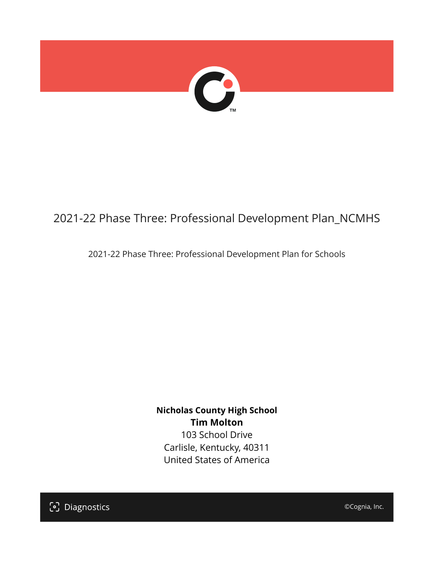

## 2021-22 Phase Three: Professional Development Plan\_NCMHS

2021-22 Phase Three: Professional Development Plan for Schools

**Nicholas County High School Tim Molton** 103 School Drive Carlisle, Kentucky, 40311 United States of America

[၁] Diagnostics

©Cognia, Inc.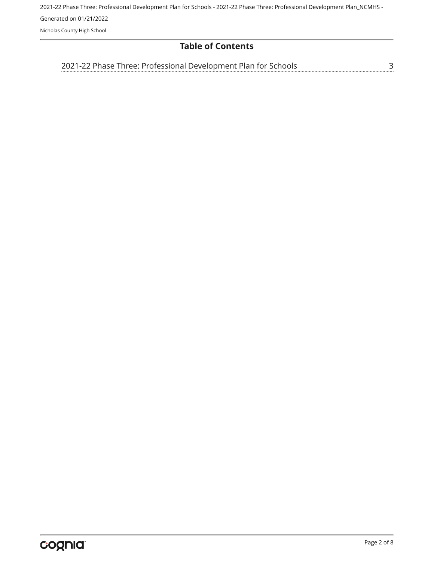## **Table of Contents**

[3](#page-2-0) [2021-22 Phase Three: Professional Development Plan for Schools](#page-2-0)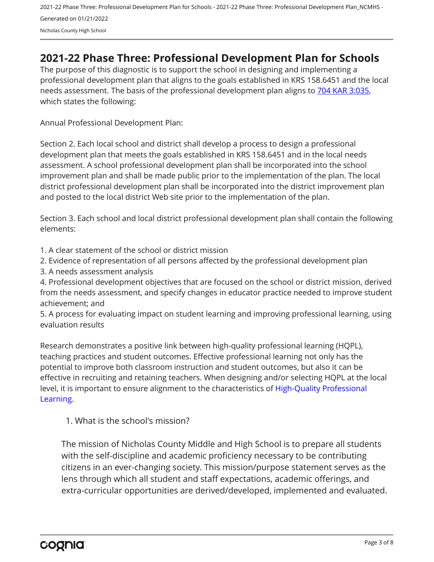## <span id="page-2-0"></span>**2021-22 Phase Three: Professional Development Plan for Schools**

The purpose of this diagnostic is to support the school in designing and implementing a professional development plan that aligns to the goals established in KRS 158.6451 and the local needs assessment. The basis of the professional development plan aligns to [704 KAR 3:035,](https://apps.legislature.ky.gov/Law/kar/704/003/035.pdf) which states the following:

Annual Professional Development Plan:

Section 2. Each local school and district shall develop a process to design a professional development plan that meets the goals established in KRS 158.6451 and in the local needs assessment. A school professional development plan shall be incorporated into the school improvement plan and shall be made public prior to the implementation of the plan. The local district professional development plan shall be incorporated into the district improvement plan and posted to the local district Web site prior to the implementation of the plan.

Section 3. Each school and local district professional development plan shall contain the following elements:

1. A clear statement of the school or district mission

2. Evidence of representation of all persons affected by the professional development plan

3. A needs assessment analysis

4. Professional development objectives that are focused on the school or district mission, derived from the needs assessment, and specify changes in educator practice needed to improve student achievement; and

5. A process for evaluating impact on student learning and improving professional learning, using evaluation results

Research demonstrates a positive link between high-quality professional learning (HQPL), teaching practices and student outcomes. Effective professional learning not only has the potential to improve both classroom instruction and student outcomes, but also it can be effective in recruiting and retaining teachers. When designing and/or selecting HQPL at the local level, it is important to ensure alignment to the characteristics of [High-Quality Professional](https://protect-us.mimecast.com/s/t_VKCmZ28lUj9ElyiG-gxw?domain=education.ky.gov)  [Learning](https://protect-us.mimecast.com/s/t_VKCmZ28lUj9ElyiG-gxw?domain=education.ky.gov).

1. What is the school's mission?

The mission of Nicholas County Middle and High School is to prepare all students with the self-discipline and academic proficiency necessary to be contributing citizens in an ever-changing society. This mission/purpose statement serves as the lens through which all student and staff expectations, academic offerings, and extra-curricular opportunities are derived/developed, implemented and evaluated.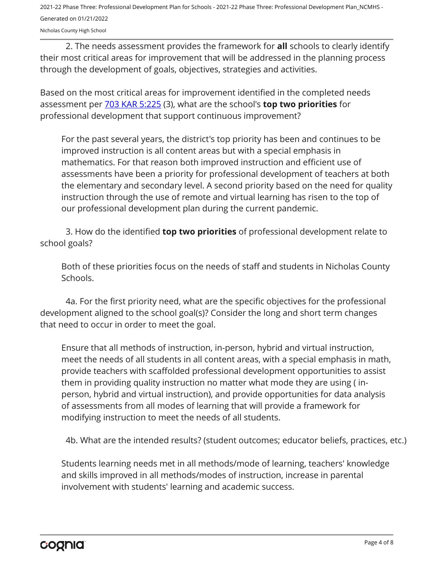2021-22 Phase Three: Professional Development Plan for Schools - 2021-22 Phase Three: Professional Development Plan\_NCMHS - Generated on 01/21/2022

Nicholas County High School

2. The needs assessment provides the framework for **all** schools to clearly identify their most critical areas for improvement that will be addressed in the planning process through the development of goals, objectives, strategies and activities.

Based on the most critical areas for improvement identified in the completed needs assessment per [703 KAR 5:225](https://apps.legislature.ky.gov/law/kar/703/005/225.pdf) (3), what are the school's **top two priorities** for professional development that support continuous improvement?

For the past several years, the district's top priority has been and continues to be improved instruction is all content areas but with a special emphasis in mathematics. For that reason both improved instruction and efficient use of assessments have been a priority for professional development of teachers at both the elementary and secondary level. A second priority based on the need for quality instruction through the use of remote and virtual learning has risen to the top of our professional development plan during the current pandemic.

3. How do the identified **top two priorities** of professional development relate to school goals?

Both of these priorities focus on the needs of staff and students in Nicholas County Schools.

4a. For the first priority need, what are the specific objectives for the professional development aligned to the school goal(s)? Consider the long and short term changes that need to occur in order to meet the goal.

Ensure that all methods of instruction, in-person, hybrid and virtual instruction, meet the needs of all students in all content areas, with a special emphasis in math, provide teachers with scaffolded professional development opportunities to assist them in providing quality instruction no matter what mode they are using ( inperson, hybrid and virtual instruction), and provide opportunities for data analysis of assessments from all modes of learning that will provide a framework for modifying instruction to meet the needs of all students.

4b. What are the intended results? (student outcomes; educator beliefs, practices, etc.)

Students learning needs met in all methods/mode of learning, teachers' knowledge and skills improved in all methods/modes of instruction, increase in parental involvement with students' learning and academic success.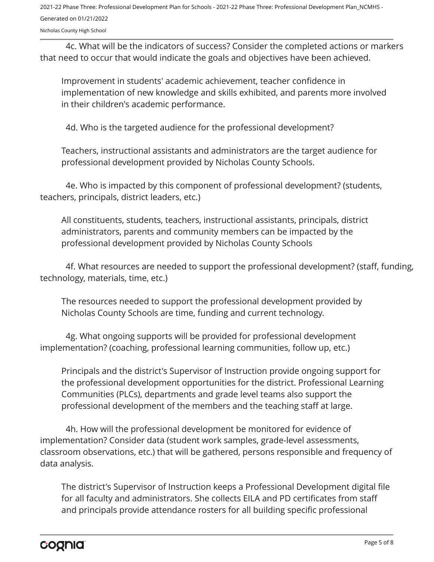2021-22 Phase Three: Professional Development Plan for Schools - 2021-22 Phase Three: Professional Development Plan\_NCMHS - Generated on 01/21/2022

Nicholas County High School

4c. What will be the indicators of success? Consider the completed actions or markers that need to occur that would indicate the goals and objectives have been achieved.

Improvement in students' academic achievement, teacher confidence in implementation of new knowledge and skills exhibited, and parents more involved in their children's academic performance.

4d. Who is the targeted audience for the professional development?

Teachers, instructional assistants and administrators are the target audience for professional development provided by Nicholas County Schools.

4e. Who is impacted by this component of professional development? (students, teachers, principals, district leaders, etc.)

All constituents, students, teachers, instructional assistants, principals, district administrators, parents and community members can be impacted by the professional development provided by Nicholas County Schools

4f. What resources are needed to support the professional development? (staff, funding, technology, materials, time, etc.)

The resources needed to support the professional development provided by Nicholas County Schools are time, funding and current technology.

4g. What ongoing supports will be provided for professional development implementation? (coaching, professional learning communities, follow up, etc.)

Principals and the district's Supervisor of Instruction provide ongoing support for the professional development opportunities for the district. Professional Learning Communities (PLCs), departments and grade level teams also support the professional development of the members and the teaching staff at large.

4h. How will the professional development be monitored for evidence of implementation? Consider data (student work samples, grade-level assessments, classroom observations, etc.) that will be gathered, persons responsible and frequency of data analysis.

The district's Supervisor of Instruction keeps a Professional Development digital file for all faculty and administrators. She collects EILA and PD certificates from staff and principals provide attendance rosters for all building specific professional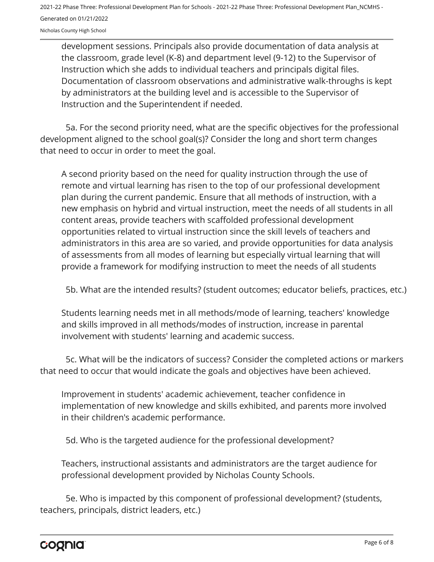development sessions. Principals also provide documentation of data analysis at the classroom, grade level (K-8) and department level (9-12) to the Supervisor of Instruction which she adds to individual teachers and principals digital files. Documentation of classroom observations and administrative walk-throughs is kept by administrators at the building level and is accessible to the Supervisor of Instruction and the Superintendent if needed.

5a. For the second priority need, what are the specific objectives for the professional development aligned to the school goal(s)? Consider the long and short term changes that need to occur in order to meet the goal.

A second priority based on the need for quality instruction through the use of remote and virtual learning has risen to the top of our professional development plan during the current pandemic. Ensure that all methods of instruction, with a new emphasis on hybrid and virtual instruction, meet the needs of all students in all content areas, provide teachers with scaffolded professional development opportunities related to virtual instruction since the skill levels of teachers and administrators in this area are so varied, and provide opportunities for data analysis of assessments from all modes of learning but especially virtual learning that will provide a framework for modifying instruction to meet the needs of all students

5b. What are the intended results? (student outcomes; educator beliefs, practices, etc.)

Students learning needs met in all methods/mode of learning, teachers' knowledge and skills improved in all methods/modes of instruction, increase in parental involvement with students' learning and academic success.

5c. What will be the indicators of success? Consider the completed actions or markers that need to occur that would indicate the goals and objectives have been achieved.

Improvement in students' academic achievement, teacher confidence in implementation of new knowledge and skills exhibited, and parents more involved in their children's academic performance.

5d. Who is the targeted audience for the professional development?

Teachers, instructional assistants and administrators are the target audience for professional development provided by Nicholas County Schools.

5e. Who is impacted by this component of professional development? (students, teachers, principals, district leaders, etc.)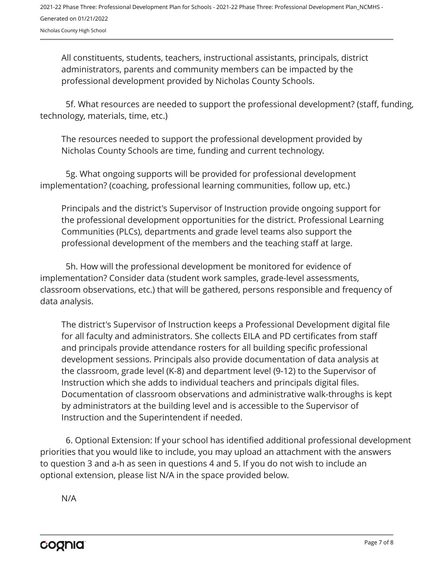All constituents, students, teachers, instructional assistants, principals, district administrators, parents and community members can be impacted by the professional development provided by Nicholas County Schools.

5f. What resources are needed to support the professional development? (staff, funding, technology, materials, time, etc.)

The resources needed to support the professional development provided by Nicholas County Schools are time, funding and current technology.

5g. What ongoing supports will be provided for professional development implementation? (coaching, professional learning communities, follow up, etc.)

Principals and the district's Supervisor of Instruction provide ongoing support for the professional development opportunities for the district. Professional Learning Communities (PLCs), departments and grade level teams also support the professional development of the members and the teaching staff at large.

5h. How will the professional development be monitored for evidence of implementation? Consider data (student work samples, grade-level assessments, classroom observations, etc.) that will be gathered, persons responsible and frequency of data analysis.

The district's Supervisor of Instruction keeps a Professional Development digital file for all faculty and administrators. She collects EILA and PD certificates from staff and principals provide attendance rosters for all building specific professional development sessions. Principals also provide documentation of data analysis at the classroom, grade level (K-8) and department level (9-12) to the Supervisor of Instruction which she adds to individual teachers and principals digital files. Documentation of classroom observations and administrative walk-throughs is kept by administrators at the building level and is accessible to the Supervisor of Instruction and the Superintendent if needed.

6. Optional Extension: If your school has identified additional professional development priorities that you would like to include, you may upload an attachment with the answers to question 3 and a-h as seen in questions 4 and 5. If you do not wish to include an optional extension, please list N/A in the space provided below.

N/A